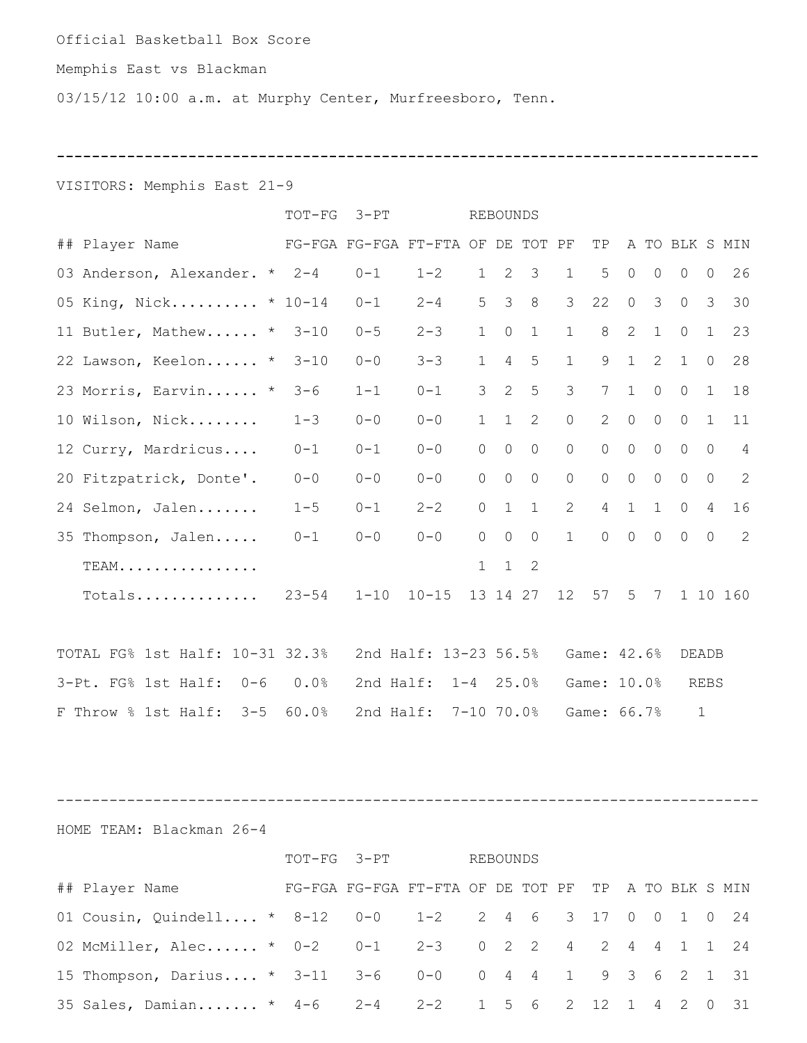#### Official Basketball Box Score

## Memphis East vs Blackman

03/15/12 10:00 a.m. at Murphy Center, Murfreesboro, Tenn.

**--------------------------------------------------------------------------------**

VISITORS: Memphis East 21-9

|                                       | TOT-FG 3-PT                       |         | <b>REBOUNDS</b>       |                |                |                |                |                |                |               |                 |                |                |
|---------------------------------------|-----------------------------------|---------|-----------------------|----------------|----------------|----------------|----------------|----------------|----------------|---------------|-----------------|----------------|----------------|
| ## Player Name                        | FG-FGA FG-FGA FT-FTA OF DE TOT PF |         |                       |                |                |                |                | TP             |                |               | A TO BLK S MIN  |                |                |
| 03 Anderson, Alexander. * 2-4         |                                   | $0 - 1$ | $1 - 2$               | 1              |                | $2 \quad 3$    | $\mathbf{1}$   | 5              | $\circ$        | $\circ$       | $\circ$         | $\mathbb O$    | 26             |
| 05 King, Nick * 10-14                 |                                   | $0 - 1$ | $2 - 4$               | 5 <sup>1</sup> | $\overline{3}$ | 8 <sup>8</sup> | $\mathcal{S}$  | 22             | $\overline{0}$ | $\mathcal{S}$ | $\overline{0}$  | $\overline{3}$ | 30             |
| 11 Butler, Mathew * 3-10              |                                   | $0 - 5$ | $2 - 3$               | 1              | $\circ$        | $\mathbf{1}$   | $\mathbf{1}$   | 8              | $\overline{2}$ | 1             | $\circ$         | $\mathbf{1}$   | 23             |
| 22 Lawson, Keelon *                   | $3 - 10$                          | $0 - 0$ | $3 - 3$               | 1              | $\overline{4}$ | 5              | $\mathbf{1}$   | 9              | 1              | 2             | $\mathbf{1}$    | $\circ$        | 28             |
| 23 Morris, Earvin *                   | $3 - 6$                           | $1 - 1$ | $0 - 1$               | 3              | 2              | 5              | $\mathcal{S}$  | 7              | 1              | $\circ$       | $\circ$         | 1              | 18             |
| 10 Wilson, Nick 1-3                   |                                   | $0 - 0$ | $0 - 0$               | 1              | $\mathbf{1}$   | 2              | $\overline{0}$ | $\overline{2}$ | $\overline{0}$ | $\circ$       | $\circ$         | 1              | 11             |
| 12 Curry, Mardricus 0-1               |                                   | $0 - 1$ | $0 - 0$               | $\circ$        | $\overline{0}$ | $\overline{0}$ | $\circ$        | $\circ$        | $\overline{0}$ | $\circ$       | $\circ$         | $\overline{0}$ | $\overline{4}$ |
| 20 Fitzpatrick, Donte'.               | $0 - 0$                           | $0 - 0$ | $0 - 0$               | $\circ$        | $\circ$        | $\circ$        | $\circ$        | $\circ$        | $\circ$        | $\circ$       | $\circ$         | $\circ$        | 2              |
| 24 Selmon, Jalen                      | $1 - 5$                           | $0 - 1$ | $2 - 2$               | $\circ$        | $\mathbf{1}$   | $\mathbf{1}$   | $2^{\circ}$    |                | $4 \quad 1$    | $\mathbf{1}$  | $\circ$         | $\overline{4}$ | 16             |
| 35 Thompson, Jalen                    | $0 - 1$                           | $0 - 0$ | $0 - 0$               | $\Omega$       | $\overline{0}$ | $\circ$        | $\mathbf{1}$   | $\overline{0}$ |                | $0\qquad 0$   | $\overline{0}$  | $\circ$        | 2              |
| TEAM.                                 |                                   |         |                       | 1              |                | $1 \quad 2$    |                |                |                |               |                 |                |                |
| Totals $23-54$ 1-10 10-15 13 14 27 12 |                                   |         |                       |                |                |                |                |                |                |               | 57 5 7 1 10 160 |                |                |
|                                       |                                   |         |                       |                |                |                |                |                |                |               |                 |                |                |
| TOTAL FG% 1st Half: 10-31 32.3%       |                                   |         | 2nd Half: 13-23 56.5% |                |                |                |                | Game: 42.6%    |                |               | DEADB           |                |                |
| 3-Pt. FG% 1st Half: 0-6 0.0%          |                                   |         | 2nd Half: 1-4 25.0%   |                |                |                |                | Game: 10.0%    |                |               |                 | <b>REBS</b>    |                |
| F Throw % 1st Half: 3-5 60.0%         |                                   |         | 2nd Half: 7-10 70.0%  |                |                |                |                | Game: 66.7%    |                |               |                 | $\mathbf{1}$   |                |

--------------------------------------------------------------------------------

HOME TEAM: Blackman 26-4

|                                                                             |  | TOT-FG 3-PT |                                                     | REBOUNDS |  |  |  |  |  |  |  |  |
|-----------------------------------------------------------------------------|--|-------------|-----------------------------------------------------|----------|--|--|--|--|--|--|--|--|
| ## Player Name                                                              |  |             | FG-FGA FG-FGA FT-FTA OF DE TOT PF TP A TO BLK S MIN |          |  |  |  |  |  |  |  |  |
| 01 Cousin, Quindell * 8-12  0-0  1-2  2  4  6  3  17  0  0  1  0  24        |  |             |                                                     |          |  |  |  |  |  |  |  |  |
| 02 McMiller, Alec * 0-2  0-1  2-3  0  2  2  4  2  4  4  1  2  4  4  1  2  4 |  |             |                                                     |          |  |  |  |  |  |  |  |  |
| 15 Thompson, Darius * 3-11 3-6 0-0 0 4 4 1 9 3 6 2 1 31                     |  |             |                                                     |          |  |  |  |  |  |  |  |  |
| 35 Sales, Damian * 4-6  2-4  2-2  1  5  6  2  12  1  4  2  0  31            |  |             |                                                     |          |  |  |  |  |  |  |  |  |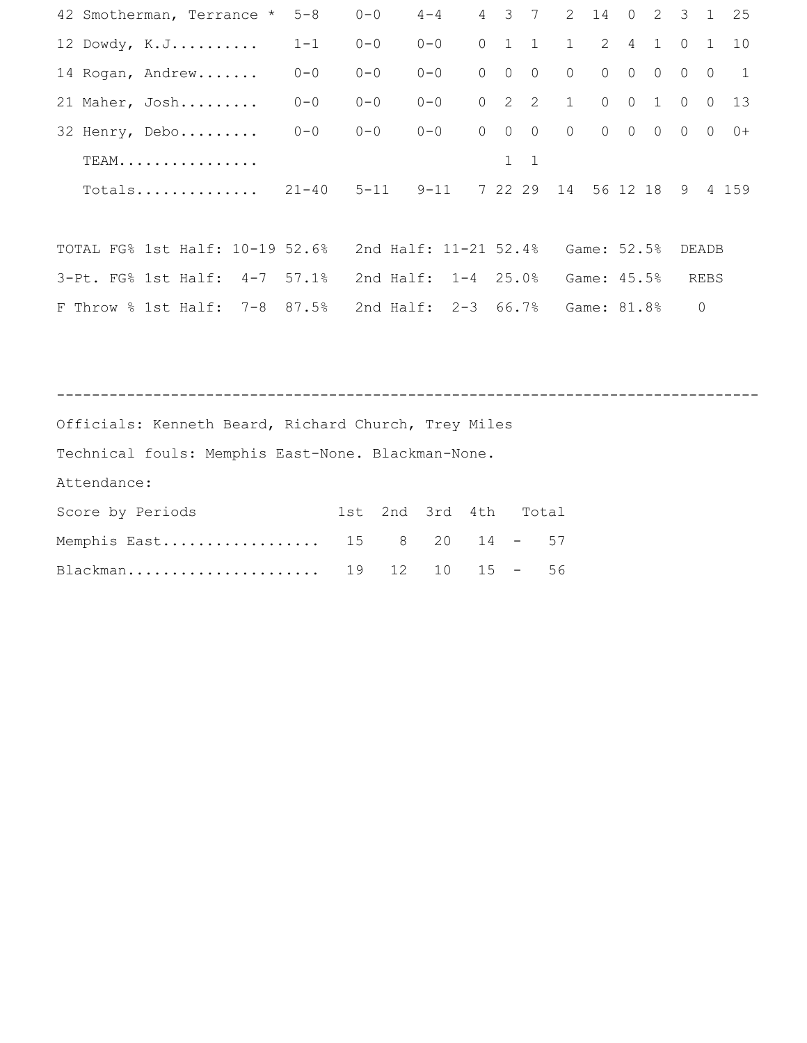| 42 Smotherman, Terrance *                            | $5 - 8$   | $0 - 0$    | $4 - 4$               |          | 4 3 7          |               | $2^{\circ}$            | 14             | $\overline{0}$ |                             | $2 \quad 3$    | 1            | 25             |
|------------------------------------------------------|-----------|------------|-----------------------|----------|----------------|---------------|------------------------|----------------|----------------|-----------------------------|----------------|--------------|----------------|
| $12$ Dowdy, $K.J.$                                   | $1 - 1$   | $0 - 0$    | $0 - 0$               |          |                | $0$ 1 1       | $1 \quad \blacksquare$ |                | $2 \quad 4$    |                             | $1 \quad 0$    | $\mathbf{1}$ | 10             |
| 14 Rogan, Andrew                                     | $0 - 0$   | $0 - 0$    | $0 - 0$               | $\circ$  | $\circ$        | $\circ$       | $\overline{0}$         | $\overline{0}$ | $\overline{0}$ | $\circ$                     | $\circ$        | $\Omega$     | $\overline{1}$ |
| 21 Maher, Josh                                       | $0 - 0$   | $0 - 0$    | $0 - 0$               | $\circ$  | 2              | 2             | 1                      |                | $0\qquad 0$    | $\mathbf{1}$                | $\overline{0}$ | $\Omega$     | 13             |
| 32 Henry, Debo                                       | $0 - 0$   | $0 - 0$    | $0 - 0$               | $\Omega$ | $\overline{0}$ | $\circ$       | $\overline{0}$         |                |                | $0\qquad 0\qquad 0\qquad 0$ |                |              | $0+$           |
| TEAM.                                                |           |            |                       |          | $\mathbf{1}$   | $\mathbf{1}$  |                        |                |                |                             |                |              |                |
| $Totals$                                             | $21 - 40$ |            | $5 - 11$ $9 - 11$     |          |                | 7 22 29       | 14 56 12 18 9          |                |                |                             |                |              | 4 159          |
|                                                      |           |            |                       |          |                |               |                        |                |                |                             |                |              |                |
| TOTAL FG% 1st Half: 10-19 52.6%                      |           |            | 2nd Half: 11-21 52.4% |          |                |               |                        | Game: 52.5%    |                |                             |                | DEADB        |                |
| 3-Pt. FG% 1st Half: 4-7 57.1%                        |           |            | 2nd Half: 1-4 25.0%   |          |                |               |                        | Game: 45.5%    |                |                             |                | REBS         |                |
| F Throw % 1st Half: 7-8 87.5%                        |           |            | 2nd Half: 2-3 66.7%   |          |                |               |                        | Game: 81.8%    |                |                             |                | $\circ$      |                |
|                                                      |           |            |                       |          |                |               |                        |                |                |                             |                |              |                |
|                                                      |           |            |                       |          |                |               |                        |                |                |                             |                |              |                |
|                                                      |           |            |                       |          |                |               |                        |                |                |                             |                |              |                |
| Officials: Kenneth Beard, Richard Church, Trey Miles |           |            |                       |          |                |               |                        |                |                |                             |                |              |                |
| Technical fouls: Memphis East-None. Blackman-None.   |           |            |                       |          |                |               |                        |                |                |                             |                |              |                |
| Attendance:                                          |           |            |                       |          |                |               |                        |                |                |                             |                |              |                |
| Score by Periods                                     |           | 2nd<br>1st | 3rd                   | 4th      |                | Total         |                        |                |                |                             |                |              |                |
| Memphis East                                         | 15        | 8          | 20                    | 14       |                | $\sim$ $   -$ | 57                     |                |                |                             |                |              |                |
| Blackman                                             |           | 19<br>12   | 10                    |          | $15 -$         |               | 56                     |                |                |                             |                |              |                |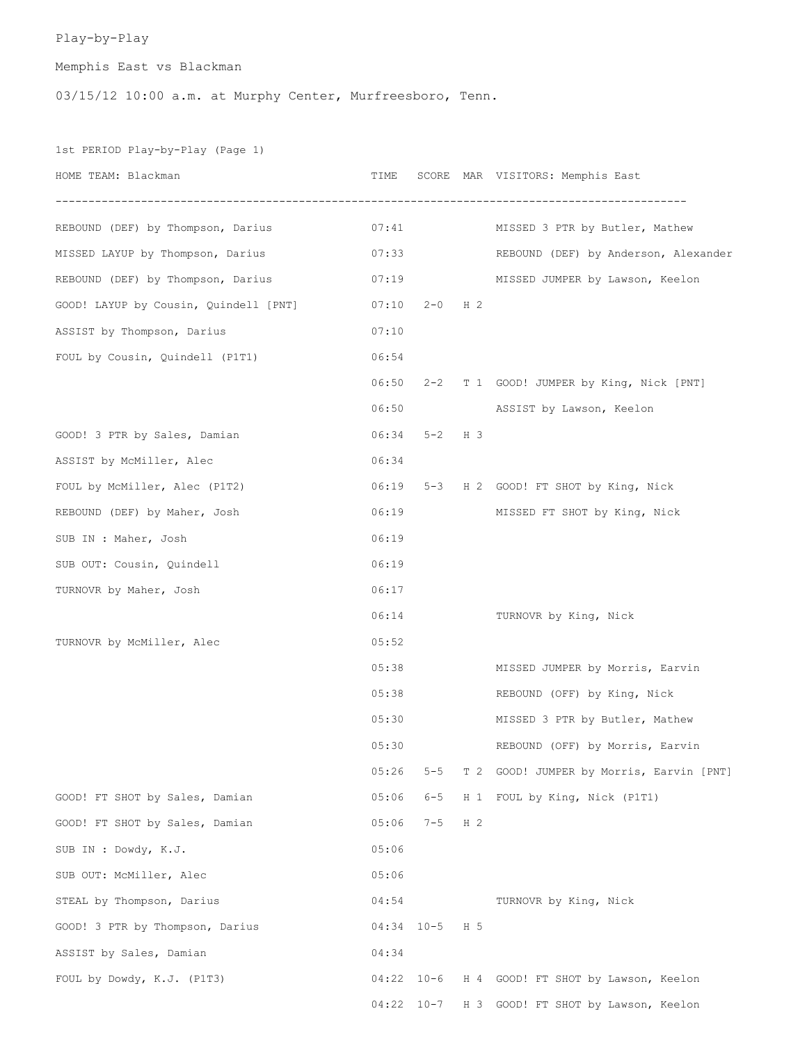# Play-by-Play

Memphis East vs Blackman

03/15/12 10:00 a.m. at Murphy Center, Murfreesboro, Tenn.

1st PERIOD Play-by-Play (Page 1)

| HOME TEAM: Blackman                   | TIME  |                 |                | SCORE MAR VISITORS: Memphis East               |
|---------------------------------------|-------|-----------------|----------------|------------------------------------------------|
| REBOUND (DEF) by Thompson, Darius     | 07:41 |                 |                | MISSED 3 PTR by Butler, Mathew                 |
| MISSED LAYUP by Thompson, Darius      | 07:33 |                 |                | REBOUND (DEF) by Anderson, Alexander           |
| REBOUND (DEF) by Thompson, Darius     |       | 07:19           |                | MISSED JUMPER by Lawson, Keelon                |
| GOOD! LAYUP by Cousin, Quindell [PNT] |       | $07:10$ 2-0 H 2 |                |                                                |
| ASSIST by Thompson, Darius            | 07:10 |                 |                |                                                |
| FOUL by Cousin, Quindell (P1T1)       | 06:54 |                 |                |                                                |
|                                       | 06:50 |                 |                | 2-2 T 1 GOOD! JUMPER by King, Nick [PNT]       |
|                                       | 06:50 |                 |                | ASSIST by Lawson, Keelon                       |
| GOOD! 3 PTR by Sales, Damian          | 06:34 | $5 - 2$ H 3     |                |                                                |
| ASSIST by McMiller, Alec              | 06:34 |                 |                |                                                |
| FOUL by McMiller, Alec (P1T2)         | 06:19 |                 |                | 5-3 H 2 GOOD! FT SHOT by King, Nick            |
| REBOUND (DEF) by Maher, Josh          | 06:19 |                 |                | MISSED FT SHOT by King, Nick                   |
| SUB IN : Maher, Josh                  | 06:19 |                 |                |                                                |
| SUB OUT: Cousin, Quindell             | 06:19 |                 |                |                                                |
| TURNOVR by Maher, Josh                | 06:17 |                 |                |                                                |
|                                       | 06:14 |                 |                | TURNOVR by King, Nick                          |
| TURNOVR by McMiller, Alec             | 05:52 |                 |                |                                                |
|                                       | 05:38 |                 |                | MISSED JUMPER by Morris, Earvin                |
|                                       | 05:38 |                 |                | REBOUND (OFF) by King, Nick                    |
|                                       | 05:30 |                 |                | MISSED 3 PTR by Butler, Mathew                 |
|                                       | 05:30 |                 |                | REBOUND (OFF) by Morris, Earvin                |
|                                       | 05:26 | $5 - 5$         |                | T 2 GOOD! JUMPER by Morris, Earvin [PNT]       |
| GOOD! FT SHOT by Sales, Damian        | 05:06 | $6 - 5$         |                | H 1 FOUL by King, Nick (P1T1)                  |
| GOOD! FT SHOT by Sales, Damian        | 05:06 | $7 - 5$         | H <sub>2</sub> |                                                |
| SUB IN : Dowdy, K.J.                  | 05:06 |                 |                |                                                |
| SUB OUT: McMiller, Alec               | 05:06 |                 |                |                                                |
| STEAL by Thompson, Darius             | 04:54 |                 |                | TURNOVR by King, Nick                          |
| GOOD! 3 PTR by Thompson, Darius       |       | 04:34 10-5 H 5  |                |                                                |
| ASSIST by Sales, Damian               | 04:34 |                 |                |                                                |
| FOUL by Dowdy, K.J. (P1T3)            |       |                 |                | 04:22 10-6 H 4 GOOD! FT SHOT by Lawson, Keelon |
|                                       |       |                 |                | 04:22 10-7 H 3 GOOD! FT SHOT by Lawson, Keelon |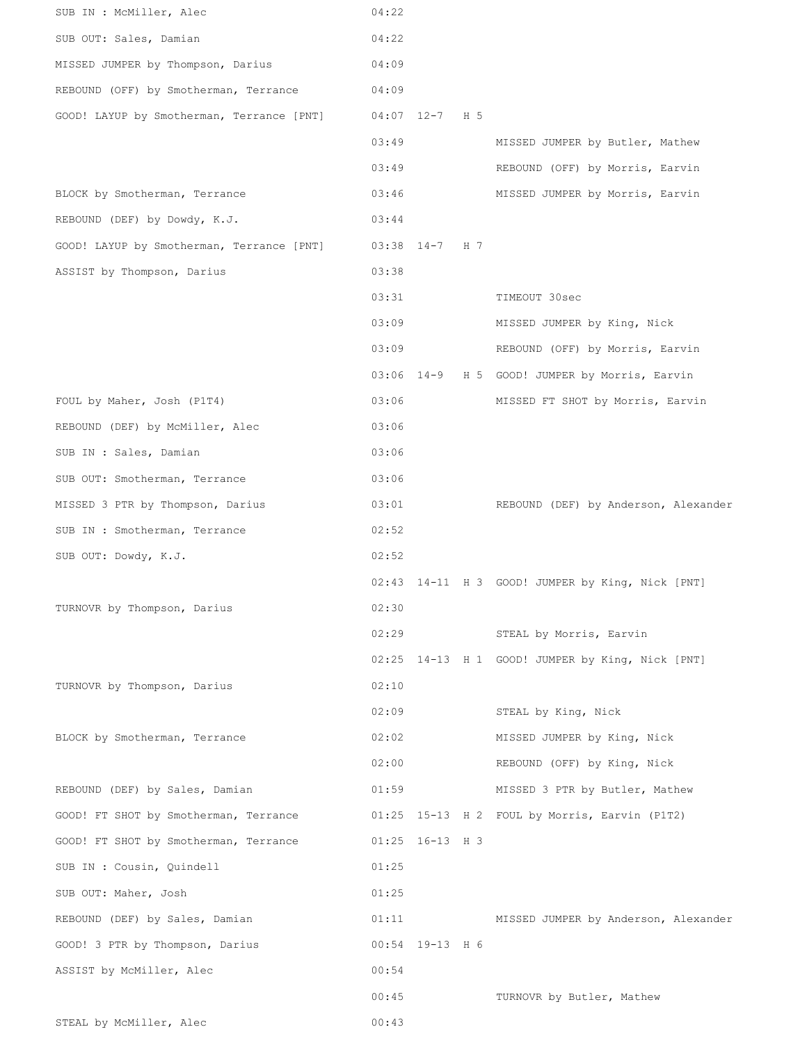| SUB IN : McMiller, Alec                   | 04:22 |                  |                                                  |
|-------------------------------------------|-------|------------------|--------------------------------------------------|
| SUB OUT: Sales, Damian                    | 04:22 |                  |                                                  |
| MISSED JUMPER by Thompson, Darius         | 04:09 |                  |                                                  |
| REBOUND (OFF) by Smotherman, Terrance     | 04:09 |                  |                                                  |
| GOOD! LAYUP by Smotherman, Terrance [PNT] |       | 04:07 12-7 H 5   |                                                  |
|                                           | 03:49 |                  | MISSED JUMPER by Butler, Mathew                  |
|                                           | 03:49 |                  | REBOUND (OFF) by Morris, Earvin                  |
| BLOCK by Smotherman, Terrance             | 03:46 |                  | MISSED JUMPER by Morris, Earvin                  |
| REBOUND (DEF) by Dowdy, K.J.              | 03:44 |                  |                                                  |
| GOOD! LAYUP by Smotherman, Terrance [PNT] |       | $03:38$ 14-7 H 7 |                                                  |
| ASSIST by Thompson, Darius                | 03:38 |                  |                                                  |
|                                           | 03:31 |                  | TIMEOUT 30sec                                    |
|                                           | 03:09 |                  | MISSED JUMPER by King, Nick                      |
|                                           | 03:09 |                  | REBOUND (OFF) by Morris, Earvin                  |
|                                           |       |                  | 03:06 14-9 H 5 GOOD! JUMPER by Morris, Earvin    |
| FOUL by Maher, Josh (P1T4)                | 03:06 |                  | MISSED FT SHOT by Morris, Earvin                 |
| REBOUND (DEF) by McMiller, Alec           | 03:06 |                  |                                                  |
| SUB IN : Sales, Damian                    | 03:06 |                  |                                                  |
| SUB OUT: Smotherman, Terrance             | 03:06 |                  |                                                  |
| MISSED 3 PTR by Thompson, Darius          | 03:01 |                  | REBOUND (DEF) by Anderson, Alexander             |
| SUB IN : Smotherman, Terrance             | 02:52 |                  |                                                  |
| SUB OUT: Dowdy, K.J.                      | 02:52 |                  |                                                  |
|                                           |       |                  | 02:43 14-11 H 3 GOOD! JUMPER by King, Nick [PNT] |
| TURNOVR by Thompson, Darius               | 02:30 |                  |                                                  |
|                                           | 02:29 |                  | STEAL by Morris, Earvin                          |
|                                           |       |                  | 02:25 14-13 H 1 GOOD! JUMPER by King, Nick [PNT] |
| TURNOVR by Thompson, Darius               | 02:10 |                  |                                                  |
|                                           | 02:09 |                  | STEAL by King, Nick                              |
| BLOCK by Smotherman, Terrance             | 02:02 |                  | MISSED JUMPER by King, Nick                      |
|                                           | 02:00 |                  | REBOUND (OFF) by King, Nick                      |
| REBOUND (DEF) by Sales, Damian            | 01:59 |                  | MISSED 3 PTR by Butler, Mathew                   |
| GOOD! FT SHOT by Smotherman, Terrance     |       |                  | 01:25 15-13 H 2 FOUL by Morris, Earvin (P1T2)    |
| GOOD! FT SHOT by Smotherman, Terrance     |       | 01:25 16-13 H 3  |                                                  |
| SUB IN : Cousin, Quindell                 | 01:25 |                  |                                                  |
| SUB OUT: Maher, Josh                      | 01:25 |                  |                                                  |
| REBOUND (DEF) by Sales, Damian            | 01:11 |                  | MISSED JUMPER by Anderson, Alexander             |
| GOOD! 3 PTR by Thompson, Darius           |       | 00:54 19-13 H 6  |                                                  |
| ASSIST by McMiller, Alec                  | 00:54 |                  |                                                  |
|                                           | 00:45 |                  | TURNOVR by Butler, Mathew                        |
| STEAL by McMiller, Alec                   | 00:43 |                  |                                                  |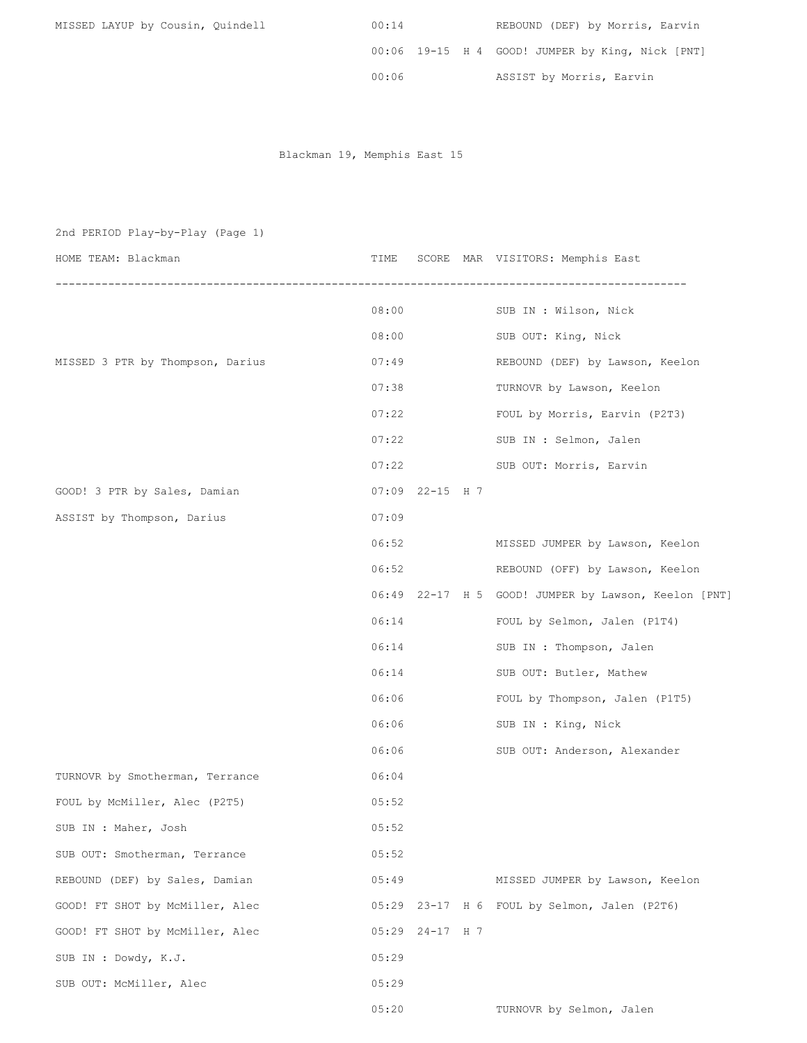| MISSED LAYUP by Cousin, Quindell | 00:14 | REBOUND (DEF) by Morris, Earvin                  |
|----------------------------------|-------|--------------------------------------------------|
|                                  |       | 00:06 19-15 H 4 GOOD! JUMPER by King, Nick [PNT] |
|                                  | 00:06 | ASSIST by Morris, Earvin                         |

Blackman 19, Memphis East 15

| 2nd PERIOD Play-by-Play (Page 1) |       |                   |                                                      |
|----------------------------------|-------|-------------------|------------------------------------------------------|
| HOME TEAM: Blackman              | TIME  |                   | SCORE MAR VISITORS: Memphis East                     |
|                                  | 08:00 |                   | SUB IN : Wilson, Nick                                |
|                                  | 08:00 |                   | SUB OUT: King, Nick                                  |
| MISSED 3 PTR by Thompson, Darius | 07:49 |                   | REBOUND (DEF) by Lawson, Keelon                      |
|                                  | 07:38 |                   | TURNOVR by Lawson, Keelon                            |
|                                  | 07:22 |                   | FOUL by Morris, Earvin (P2T3)                        |
|                                  | 07:22 |                   | SUB IN : Selmon, Jalen                               |
|                                  | 07:22 |                   | SUB OUT: Morris, Earvin                              |
| GOOD! 3 PTR by Sales, Damian     |       | $07:09$ 22-15 H 7 |                                                      |
| ASSIST by Thompson, Darius       | 07:09 |                   |                                                      |
|                                  | 06:52 |                   | MISSED JUMPER by Lawson, Keelon                      |
|                                  | 06:52 |                   | REBOUND (OFF) by Lawson, Keelon                      |
|                                  |       |                   | 06:49 22-17 H 5 GOOD! JUMPER by Lawson, Keelon [PNT] |
|                                  | 06:14 |                   | FOUL by Selmon, Jalen (P1T4)                         |
|                                  | 06:14 |                   | SUB IN : Thompson, Jalen                             |
|                                  | 06:14 |                   | SUB OUT: Butler, Mathew                              |
|                                  | 06:06 |                   | FOUL by Thompson, Jalen (P1T5)                       |
|                                  | 06:06 |                   | SUB IN : King, Nick                                  |
|                                  | 06:06 |                   | SUB OUT: Anderson, Alexander                         |
| TURNOVR by Smotherman, Terrance  | 06:04 |                   |                                                      |
| FOUL by McMiller, Alec (P2T5)    | 05:52 |                   |                                                      |
| SUB IN : Maher, Josh             | 05:52 |                   |                                                      |
| SUB OUT: Smotherman, Terrance    | 05:52 |                   |                                                      |
| REBOUND (DEF) by Sales, Damian   | 05:49 |                   | MISSED JUMPER by Lawson, Keelon                      |
| GOOD! FT SHOT by McMiller, Alec  |       |                   | 05:29 23-17 H 6 FOUL by Selmon, Jalen (P2T6)         |
| GOOD! FT SHOT by McMiller, Alec  |       | 05:29 24-17 H 7   |                                                      |
| SUB IN : Dowdy, K.J.             | 05:29 |                   |                                                      |
| SUB OUT: McMiller, Alec          | 05:29 |                   |                                                      |
|                                  | 05:20 |                   | TURNOVR by Selmon, Jalen                             |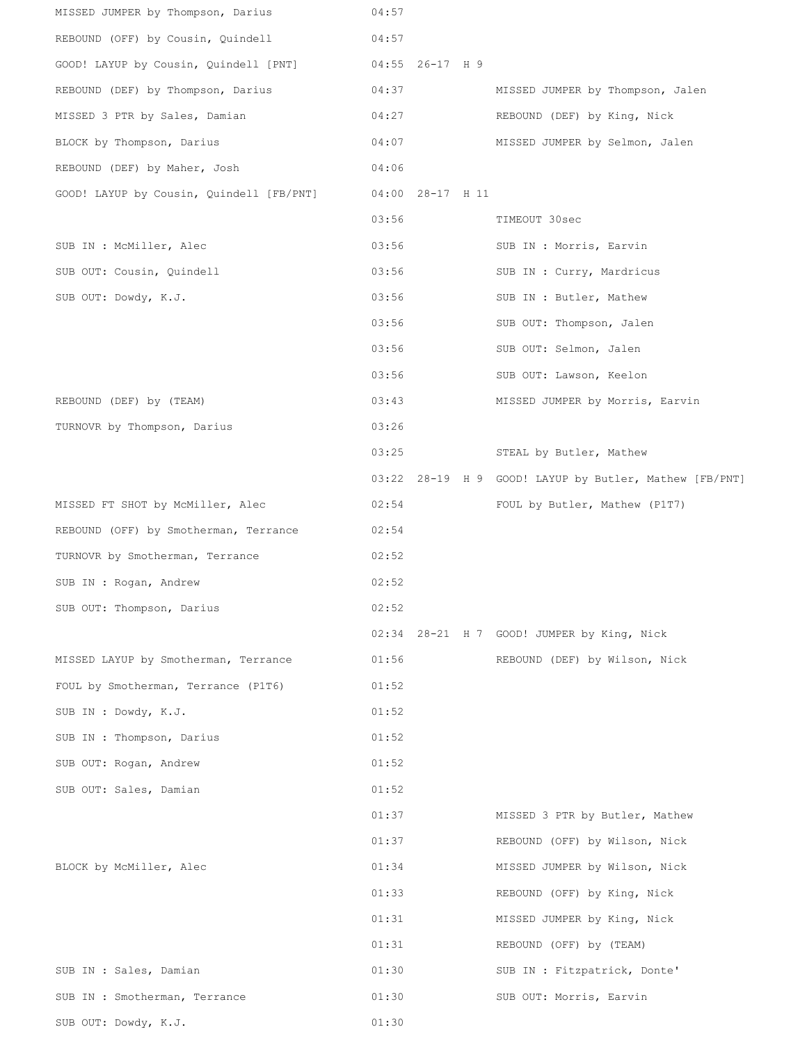| MISSED JUMPER by Thompson, Darius        | 04:57           |                  |                                                        |
|------------------------------------------|-----------------|------------------|--------------------------------------------------------|
| REBOUND (OFF) by Cousin, Quindell        | 04:57           |                  |                                                        |
| GOOD! LAYUP by Cousin, Quindell [PNT]    | 04:55 26-17 H 9 |                  |                                                        |
| REBOUND (DEF) by Thompson, Darius        | 04:37           |                  | MISSED JUMPER by Thompson, Jalen                       |
| MISSED 3 PTR by Sales, Damian            | 04:27           |                  | REBOUND (DEF) by King, Nick                            |
| BLOCK by Thompson, Darius                | 04:07           |                  | MISSED JUMPER by Selmon, Jalen                         |
| REBOUND (DEF) by Maher, Josh             | 04:06           |                  |                                                        |
| GOOD! LAYUP by Cousin, Quindell [FB/PNT] |                 | 04:00 28-17 H 11 |                                                        |
|                                          | 03:56           |                  | TIMEOUT 30sec                                          |
| SUB IN : McMiller, Alec                  | 03:56           |                  | SUB IN : Morris, Earvin                                |
| SUB OUT: Cousin, Quindell                | 03:56           |                  | SUB IN : Curry, Mardricus                              |
| SUB OUT: Dowdy, K.J.                     | 03:56           |                  | SUB IN : Butler, Mathew                                |
|                                          | 03:56           |                  | SUB OUT: Thompson, Jalen                               |
|                                          | 03:56           |                  | SUB OUT: Selmon, Jalen                                 |
|                                          | 03:56           |                  | SUB OUT: Lawson, Keelon                                |
| REBOUND (DEF) by (TEAM)                  | 03:43           |                  | MISSED JUMPER by Morris, Earvin                        |
| TURNOVR by Thompson, Darius              | 03:26           |                  |                                                        |
|                                          | 03:25           |                  | STEAL by Butler, Mathew                                |
|                                          |                 |                  | 03:22 28-19 H 9 GOOD! LAYUP by Butler, Mathew [FB/PNT] |
| MISSED FT SHOT by McMiller, Alec         | 02:54           |                  | FOUL by Butler, Mathew (P1T7)                          |
| REBOUND (OFF) by Smotherman, Terrance    | 02:54           |                  |                                                        |
| TURNOVR by Smotherman, Terrance          | 02:52           |                  |                                                        |
| SUB IN : Rogan, Andrew                   | 02:52           |                  |                                                        |
| SUB OUT: Thompson, Darius                | 02:52           |                  |                                                        |
|                                          |                 |                  | 02:34 28-21 H 7 GOOD! JUMPER by King, Nick             |
| MISSED LAYUP by Smotherman, Terrance     | 01:56           |                  | REBOUND (DEF) by Wilson, Nick                          |
| FOUL by Smotherman, Terrance (P1T6)      | 01:52           |                  |                                                        |
| SUB IN : Dowdy, K.J.                     | 01:52           |                  |                                                        |
| SUB IN : Thompson, Darius                | 01:52           |                  |                                                        |
| SUB OUT: Rogan, Andrew                   | 01:52           |                  |                                                        |
| SUB OUT: Sales, Damian                   | 01:52           |                  |                                                        |
|                                          | 01:37           |                  | MISSED 3 PTR by Butler, Mathew                         |
|                                          | 01:37           |                  | REBOUND (OFF) by Wilson, Nick                          |
| BLOCK by McMiller, Alec                  | 01:34           |                  | MISSED JUMPER by Wilson, Nick                          |
|                                          | 01:33           |                  | REBOUND (OFF) by King, Nick                            |
|                                          | 01:31           |                  | MISSED JUMPER by King, Nick                            |
|                                          | 01:31           |                  | REBOUND (OFF) by (TEAM)                                |
| SUB IN : Sales, Damian                   | 01:30           |                  | SUB IN : Fitzpatrick, Donte'                           |
| SUB IN : Smotherman, Terrance            | 01:30           |                  | SUB OUT: Morris, Earvin                                |
| SUB OUT: Dowdy, K.J.                     | 01:30           |                  |                                                        |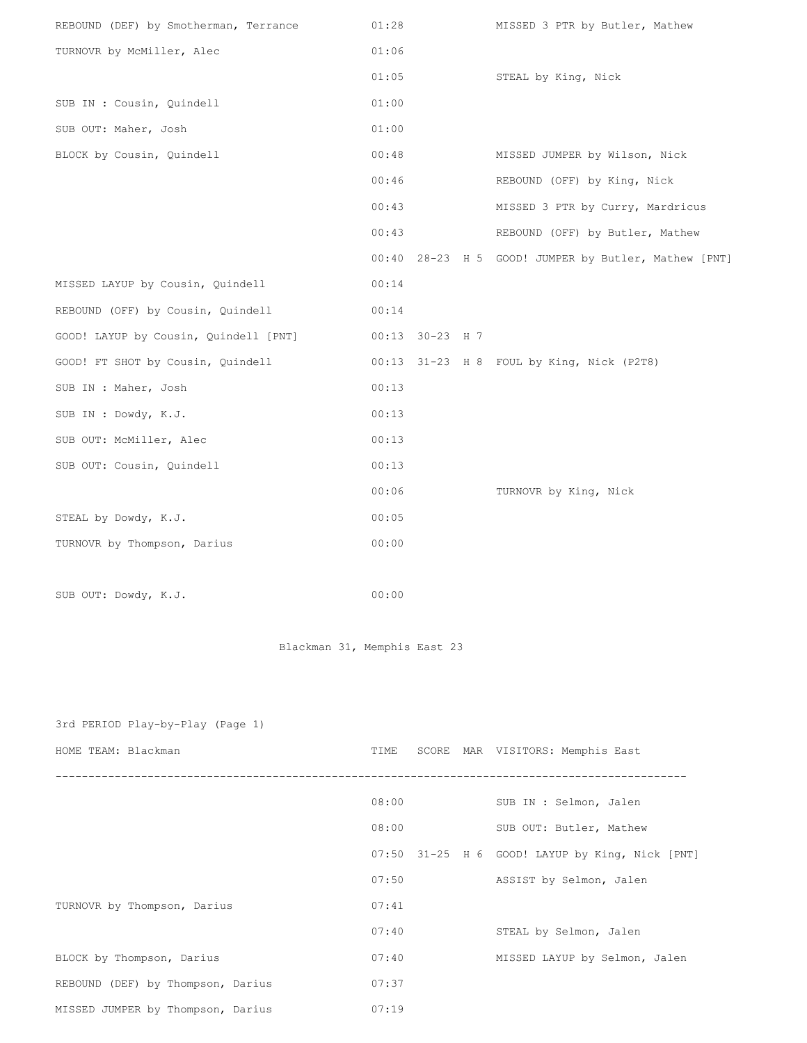| REBOUND (DEF) by Smotherman, Terrance | 01:28 |                 | MISSED 3 PTR by Butler, Mathew                       |
|---------------------------------------|-------|-----------------|------------------------------------------------------|
| TURNOVR by McMiller, Alec             | 01:06 |                 |                                                      |
|                                       | 01:05 |                 | STEAL by King, Nick                                  |
| SUB IN : Cousin, Quindell             | 01:00 |                 |                                                      |
| SUB OUT: Maher, Josh                  | 01:00 |                 |                                                      |
| BLOCK by Cousin, Quindell             | 00:48 |                 | MISSED JUMPER by Wilson, Nick                        |
|                                       | 00:46 |                 | REBOUND (OFF) by King, Nick                          |
|                                       | 00:43 |                 | MISSED 3 PTR by Curry, Mardricus                     |
|                                       | 00:43 |                 | REBOUND (OFF) by Butler, Mathew                      |
|                                       |       |                 | 00:40 28-23 H 5 GOOD! JUMPER by Butler, Mathew [PNT] |
| MISSED LAYUP by Cousin, Quindell      | 00:14 |                 |                                                      |
| REBOUND (OFF) by Cousin, Quindell     | 00:14 |                 |                                                      |
| GOOD! LAYUP by Cousin, Quindell [PNT] |       | 00:13 30-23 H 7 |                                                      |
| GOOD! FT SHOT by Cousin, Quindell     |       |                 | 00:13 31-23 H 8 FOUL by King, Nick (P2T8)            |
| SUB IN : Maher, Josh                  | 00:13 |                 |                                                      |
| SUB IN : Dowdy, K.J.                  | 00:13 |                 |                                                      |
| SUB OUT: McMiller, Alec               | 00:13 |                 |                                                      |
| SUB OUT: Cousin, Quindell             | 00:13 |                 |                                                      |
|                                       | 00:06 |                 | TURNOVR by King, Nick                                |
| STEAL by Dowdy, K.J.                  | 00:05 |                 |                                                      |
| TURNOVR by Thompson, Darius           | 00:00 |                 |                                                      |
|                                       |       |                 |                                                      |
|                                       |       |                 |                                                      |

SUB OUT: Dowdy, K.J. 00:00

Blackman 31, Memphis East 23

| 3rd PERIOD Play-by-Play (Page 1)  |       |  |                                                 |
|-----------------------------------|-------|--|-------------------------------------------------|
| HOME TEAM: Blackman               | TIME  |  | SCORE MAR VISITORS: Memphis East                |
|                                   | 08:00 |  | SUB IN : Selmon, Jalen                          |
|                                   | 08:00 |  | SUB OUT: Butler, Mathew                         |
|                                   |       |  | 07:50 31-25 H 6 GOOD! LAYUP by King, Nick [PNT] |
|                                   | 07:50 |  | ASSIST by Selmon, Jalen                         |
| TURNOVR by Thompson, Darius       | 07:41 |  |                                                 |
|                                   | 07:40 |  | STEAL by Selmon, Jalen                          |
| BLOCK by Thompson, Darius         | 07:40 |  | MISSED LAYUP by Selmon, Jalen                   |
| REBOUND (DEF) by Thompson, Darius | 07:37 |  |                                                 |
| MISSED JUMPER by Thompson, Darius | 07:19 |  |                                                 |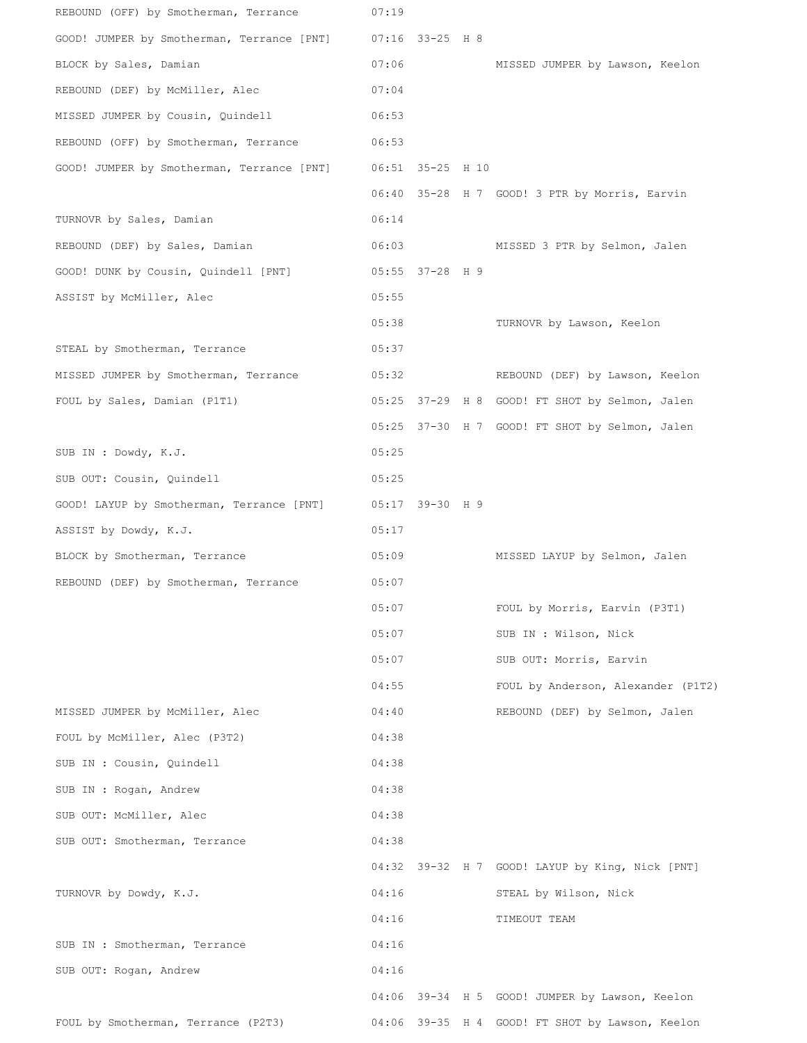| REBOUND (OFF) by Smotherman, Terrance      | 07:19 |                   |                                                 |
|--------------------------------------------|-------|-------------------|-------------------------------------------------|
| GOOD! JUMPER by Smotherman, Terrance [PNT] |       | $07:16$ 33-25 H 8 |                                                 |
| BLOCK by Sales, Damian                     | 07:06 |                   | MISSED JUMPER by Lawson, Keelon                 |
| REBOUND (DEF) by McMiller, Alec            | 07:04 |                   |                                                 |
| MISSED JUMPER by Cousin, Quindell          | 06:53 |                   |                                                 |
| REBOUND (OFF) by Smotherman, Terrance      | 06:53 |                   |                                                 |
| GOOD! JUMPER by Smotherman, Terrance [PNT] |       | 06:51 35-25 H 10  |                                                 |
|                                            |       |                   | 06:40 35-28 H 7 GOOD! 3 PTR by Morris, Earvin   |
| TURNOVR by Sales, Damian                   | 06:14 |                   |                                                 |
| REBOUND (DEF) by Sales, Damian             | 06:03 |                   | MISSED 3 PTR by Selmon, Jalen                   |
| GOOD! DUNK by Cousin, Quindell [PNT]       |       | 05:55 37-28 H 9   |                                                 |
| ASSIST by McMiller, Alec                   | 05:55 |                   |                                                 |
|                                            | 05:38 |                   | TURNOVR by Lawson, Keelon                       |
| STEAL by Smotherman, Terrance              | 05:37 |                   |                                                 |
| MISSED JUMPER by Smotherman, Terrance      | 05:32 |                   | REBOUND (DEF) by Lawson, Keelon                 |
| FOUL by Sales, Damian (P1T1)               |       |                   | 05:25 37-29 H 8 GOOD! FT SHOT by Selmon, Jalen  |
|                                            |       |                   | 05:25 37-30 H 7 GOOD! FT SHOT by Selmon, Jalen  |
| SUB IN : Dowdy, K.J.                       | 05:25 |                   |                                                 |
| SUB OUT: Cousin, Quindell                  | 05:25 |                   |                                                 |
| GOOD! LAYUP by Smotherman, Terrance [PNT]  |       | 05:17 39-30 H 9   |                                                 |
| ASSIST by Dowdy, K.J.                      | 05:17 |                   |                                                 |
| BLOCK by Smotherman, Terrance              | 05:09 |                   | MISSED LAYUP by Selmon, Jalen                   |
| REBOUND (DEF) by Smotherman, Terrance      | 05:07 |                   |                                                 |
|                                            | 05:07 |                   | FOUL by Morris, Earvin (P3T1)                   |
|                                            | 05:07 |                   | SUB IN : Wilson, Nick                           |
|                                            | 05:07 |                   | SUB OUT: Morris, Earvin                         |
|                                            | 04:55 |                   | FOUL by Anderson, Alexander (P1T2)              |
| MISSED JUMPER by McMiller, Alec            | 04:40 |                   | REBOUND (DEF) by Selmon, Jalen                  |
| FOUL by McMiller, Alec (P3T2)              | 04:38 |                   |                                                 |
| SUB IN : Cousin, Quindell                  | 04:38 |                   |                                                 |
| SUB IN : Rogan, Andrew                     | 04:38 |                   |                                                 |
| SUB OUT: McMiller, Alec                    | 04:38 |                   |                                                 |
| SUB OUT: Smotherman, Terrance              | 04:38 |                   |                                                 |
|                                            | 04:32 |                   | 39-32 H 7 GOOD! LAYUP by King, Nick [PNT]       |
| TURNOVR by Dowdy, K.J.                     | 04:16 |                   | STEAL by Wilson, Nick                           |
|                                            | 04:16 |                   | TIMEOUT TEAM                                    |
| SUB IN : Smotherman, Terrance              | 04:16 |                   |                                                 |
| SUB OUT: Rogan, Andrew                     | 04:16 |                   |                                                 |
|                                            |       |                   | 04:06 39-34 H 5 GOOD! JUMPER by Lawson, Keelon  |
| FOUL by Smotherman, Terrance (P2T3)        |       |                   | 04:06 39-35 H 4 GOOD! FT SHOT by Lawson, Keelon |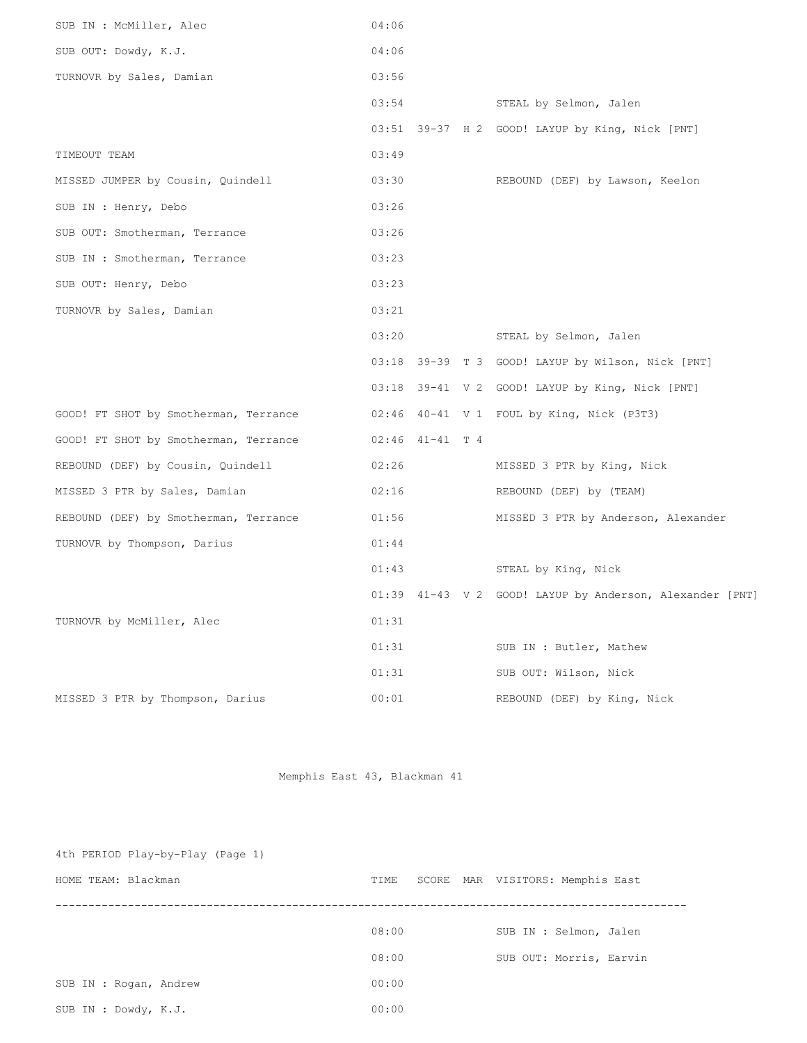| SUB IN : McMiller, Alec               | 04:06               |  |                                                          |
|---------------------------------------|---------------------|--|----------------------------------------------------------|
| SUB OUT: Dowdy, K.J.                  | 04:06               |  |                                                          |
| TURNOVR by Sales, Damian              | 03:56               |  |                                                          |
|                                       | 03:54               |  | STEAL by Selmon, Jalen                                   |
|                                       |                     |  | 03:51 39-37 H 2 GOOD! LAYUP by King, Nick [PNT]          |
| TIMEOUT TEAM                          | 03:49               |  |                                                          |
| MISSED JUMPER by Cousin, Quindell     | 03:30               |  | REBOUND (DEF) by Lawson, Keelon                          |
| SUB IN : Henry, Debo                  | 03:26               |  |                                                          |
| SUB OUT: Smotherman, Terrance         | 03:26               |  |                                                          |
| SUB IN : Smotherman, Terrance         | 03:23               |  |                                                          |
| SUB OUT: Henry, Debo                  | 03:23               |  |                                                          |
| TURNOVR by Sales, Damian              | 03:21               |  |                                                          |
|                                       | 03:20               |  | STEAL by Selmon, Jalen                                   |
|                                       |                     |  | 03:18 39-39 T 3 GOOD! LAYUP by Wilson, Nick [PNT]        |
|                                       |                     |  | 03:18 39-41 V 2 GOOD! LAYUP by King, Nick [PNT]          |
| GOOD! FT SHOT by Smotherman, Terrance |                     |  | 02:46 40-41 V 1 FOUL by King, Nick (P3T3)                |
| GOOD! FT SHOT by Smotherman, Terrance | $02:46$ $41-41$ T 4 |  |                                                          |
| REBOUND (DEF) by Cousin, Quindell     | 02:26               |  | MISSED 3 PTR by King, Nick                               |
| MISSED 3 PTR by Sales, Damian         | 02:16               |  | REBOUND (DEF) by (TEAM)                                  |
| REBOUND (DEF) by Smotherman, Terrance | 01:56               |  | MISSED 3 PTR by Anderson, Alexander                      |
| TURNOVR by Thompson, Darius           | 01:44               |  |                                                          |
|                                       | 01:43               |  | STEAL by King, Nick                                      |
|                                       |                     |  | 01:39 41-43 V 2 GOOD! LAYUP by Anderson, Alexander [PNT] |
| TURNOVR by McMiller, Alec             | 01:31               |  |                                                          |
|                                       | 01:31               |  | SUB IN : Butler, Mathew                                  |
|                                       | 01:31               |  | SUB OUT: Wilson, Nick                                    |
| MISSED 3 PTR by Thompson, Darius      | 00:01               |  | REBOUND (DEF) by King, Nick                              |

Memphis East 43, Blackman 41

| 4th PERIOD Play-by-Play (Page 1) |               |                            |
|----------------------------------|---------------|----------------------------|
| HOME TEAM: Blackman              | SCORE<br>TIME | MAR VISITORS: Memphis East |
|                                  |               |                            |
|                                  | 08:00         | SUB IN : Selmon, Jalen     |
|                                  | 08:00         | SUB OUT: Morris, Earvin    |
| SUB IN : Rogan, Andrew           | 00:00         |                            |
| SUB IN : Dowdy, K.J.             | 00:00         |                            |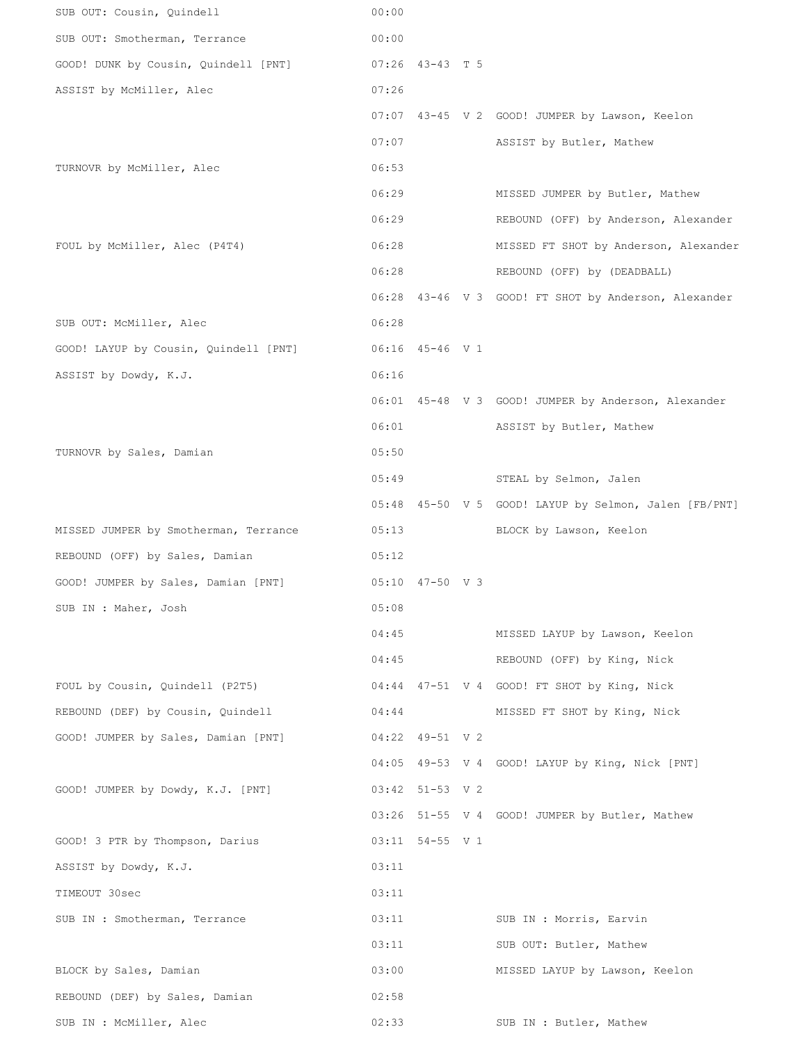| SUB OUT: Cousin, Quindell             | 00:00 |                 |                                                       |
|---------------------------------------|-------|-----------------|-------------------------------------------------------|
| SUB OUT: Smotherman, Terrance         | 00:00 |                 |                                                       |
| GOOD! DUNK by Cousin, Quindell [PNT]  |       | 07:26 43-43 T 5 |                                                       |
| ASSIST by McMiller, Alec              | 07:26 |                 |                                                       |
|                                       |       |                 | 07:07 43-45 V 2 GOOD! JUMPER by Lawson, Keelon        |
|                                       | 07:07 |                 | ASSIST by Butler, Mathew                              |
| TURNOVR by McMiller, Alec             | 06:53 |                 |                                                       |
|                                       | 06:29 |                 | MISSED JUMPER by Butler, Mathew                       |
|                                       | 06:29 |                 | REBOUND (OFF) by Anderson, Alexander                  |
| FOUL by McMiller, Alec (P4T4)         | 06:28 |                 | MISSED FT SHOT by Anderson, Alexander                 |
|                                       | 06:28 |                 | REBOUND (OFF) by (DEADBALL)                           |
|                                       |       |                 | 06:28 43-46 V 3 GOOD! FT SHOT by Anderson, Alexander  |
| SUB OUT: McMiller, Alec               | 06:28 |                 |                                                       |
| GOOD! LAYUP by Cousin, Quindell [PNT] |       | 06:16 45-46 V 1 |                                                       |
| ASSIST by Dowdy, K.J.                 | 06:16 |                 |                                                       |
|                                       |       |                 | 06:01 45-48 V 3 GOOD! JUMPER by Anderson, Alexander   |
|                                       | 06:01 |                 | ASSIST by Butler, Mathew                              |
| TURNOVR by Sales, Damian              | 05:50 |                 |                                                       |
|                                       | 05:49 |                 | STEAL by Selmon, Jalen                                |
|                                       |       |                 | 05:48 45-50 V 5 GOOD! LAYUP by Selmon, Jalen [FB/PNT] |
| MISSED JUMPER by Smotherman, Terrance | 05:13 |                 | BLOCK by Lawson, Keelon                               |
| REBOUND (OFF) by Sales, Damian        | 05:12 |                 |                                                       |
| GOOD! JUMPER by Sales, Damian [PNT]   |       | 05:10 47-50 V 3 |                                                       |
| SUB IN : Maher, Josh                  | 05:08 |                 |                                                       |
|                                       | 04:45 |                 | MISSED LAYUP by Lawson, Keelon                        |
|                                       | 04:45 |                 | REBOUND (OFF) by King, Nick                           |
| FOUL by Cousin, Quindell (P2T5)       |       |                 | 04:44 47-51 V 4 GOOD! FT SHOT by King, Nick           |
| REBOUND (DEF) by Cousin, Quindell     | 04:44 |                 | MISSED FT SHOT by King, Nick                          |
| GOOD! JUMPER by Sales, Damian [PNT]   |       | 04:22 49-51 V 2 |                                                       |
|                                       |       |                 | 04:05 49-53 V 4 GOOD! LAYUP by King, Nick [PNT]       |
| GOOD! JUMPER by Dowdy, K.J. [PNT]     |       | 03:42 51-53 V 2 |                                                       |
|                                       |       |                 | 03:26 51-55 V 4 GOOD! JUMPER by Butler, Mathew        |
| GOOD! 3 PTR by Thompson, Darius       |       | 03:11 54-55 V 1 |                                                       |
| ASSIST by Dowdy, K.J.                 | 03:11 |                 |                                                       |
| TIMEOUT 30sec                         | 03:11 |                 |                                                       |
| SUB IN : Smotherman, Terrance         | 03:11 |                 | SUB IN : Morris, Earvin                               |
|                                       | 03:11 |                 | SUB OUT: Butler, Mathew                               |
| BLOCK by Sales, Damian                | 03:00 |                 | MISSED LAYUP by Lawson, Keelon                        |
| REBOUND (DEF) by Sales, Damian        | 02:58 |                 |                                                       |
| SUB IN : McMiller, Alec               | 02:33 |                 | SUB IN : Butler, Mathew                               |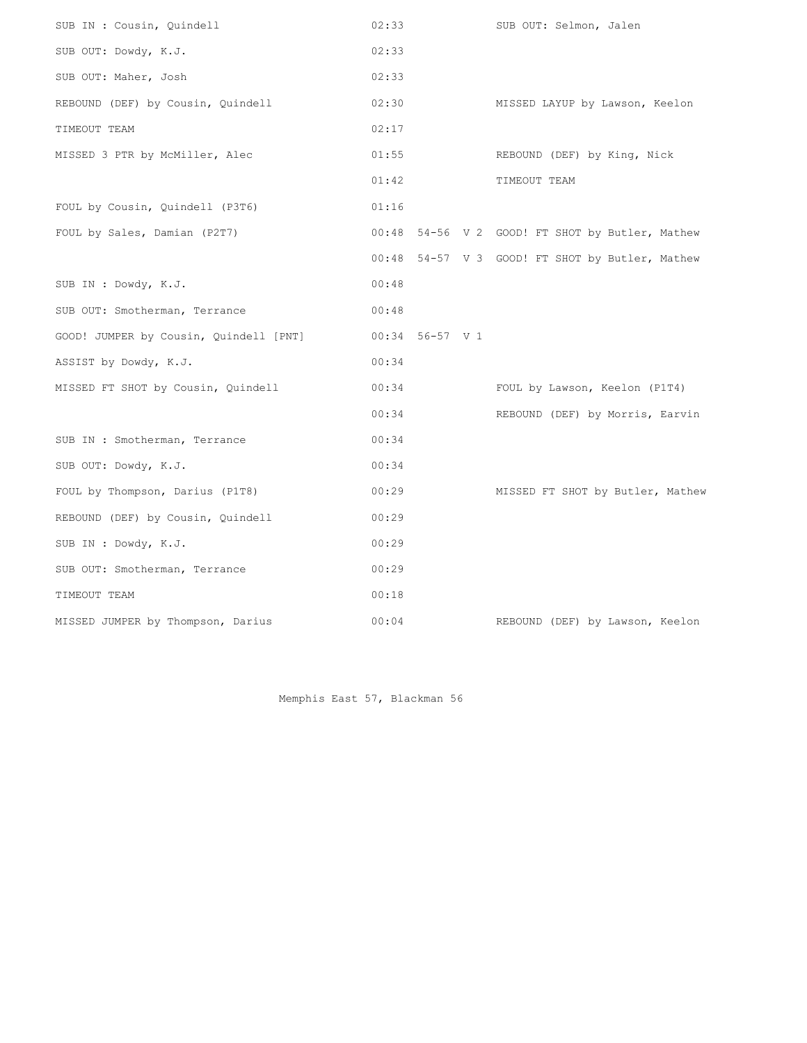| SUB IN : Cousin, Quindell              | 02:33 |                 | SUB OUT: Selmon, Jalen                          |
|----------------------------------------|-------|-----------------|-------------------------------------------------|
| SUB OUT: Dowdy, K.J.                   | 02:33 |                 |                                                 |
| SUB OUT: Maher, Josh                   | 02:33 |                 |                                                 |
| REBOUND (DEF) by Cousin, Quindell      | 02:30 |                 | MISSED LAYUP by Lawson, Keelon                  |
| TIMEOUT TEAM                           | 02:17 |                 |                                                 |
| MISSED 3 PTR by McMiller, Alec         | 01:55 |                 | REBOUND (DEF) by King, Nick                     |
|                                        | 01:42 |                 | TIMEOUT TEAM                                    |
| FOUL by Cousin, Quindell (P3T6)        | 01:16 |                 |                                                 |
| FOUL by Sales, Damian (P2T7)           |       |                 | 00:48 54-56 V 2 GOOD! FT SHOT by Butler, Mathew |
|                                        |       |                 | 00:48 54-57 V 3 GOOD! FT SHOT by Butler, Mathew |
| SUB IN : Dowdy, K.J.                   | 00:48 |                 |                                                 |
| SUB OUT: Smotherman, Terrance          | 00:48 |                 |                                                 |
| GOOD! JUMPER by Cousin, Quindell [PNT] |       | 00:34 56-57 V 1 |                                                 |
| ASSIST by Dowdy, K.J.                  | 00:34 |                 |                                                 |
| MISSED FT SHOT by Cousin, Quindell     | 00:34 |                 | FOUL by Lawson, Keelon (P1T4)                   |
|                                        | 00:34 |                 | REBOUND (DEF) by Morris, Earvin                 |
| SUB IN : Smotherman, Terrance          | 00:34 |                 |                                                 |
| SUB OUT: Dowdy, K.J.                   | 00:34 |                 |                                                 |
| FOUL by Thompson, Darius (P1T8)        | 00:29 |                 | MISSED FT SHOT by Butler, Mathew                |
| REBOUND (DEF) by Cousin, Quindell      | 00:29 |                 |                                                 |
| SUB IN : Dowdy, K.J.                   | 00:29 |                 |                                                 |
| SUB OUT: Smotherman, Terrance          | 00:29 |                 |                                                 |
| TIMEOUT TEAM                           | 00:18 |                 |                                                 |
| MISSED JUMPER by Thompson, Darius      | 00:04 |                 | REBOUND (DEF) by Lawson, Keelon                 |

Memphis East 57, Blackman 56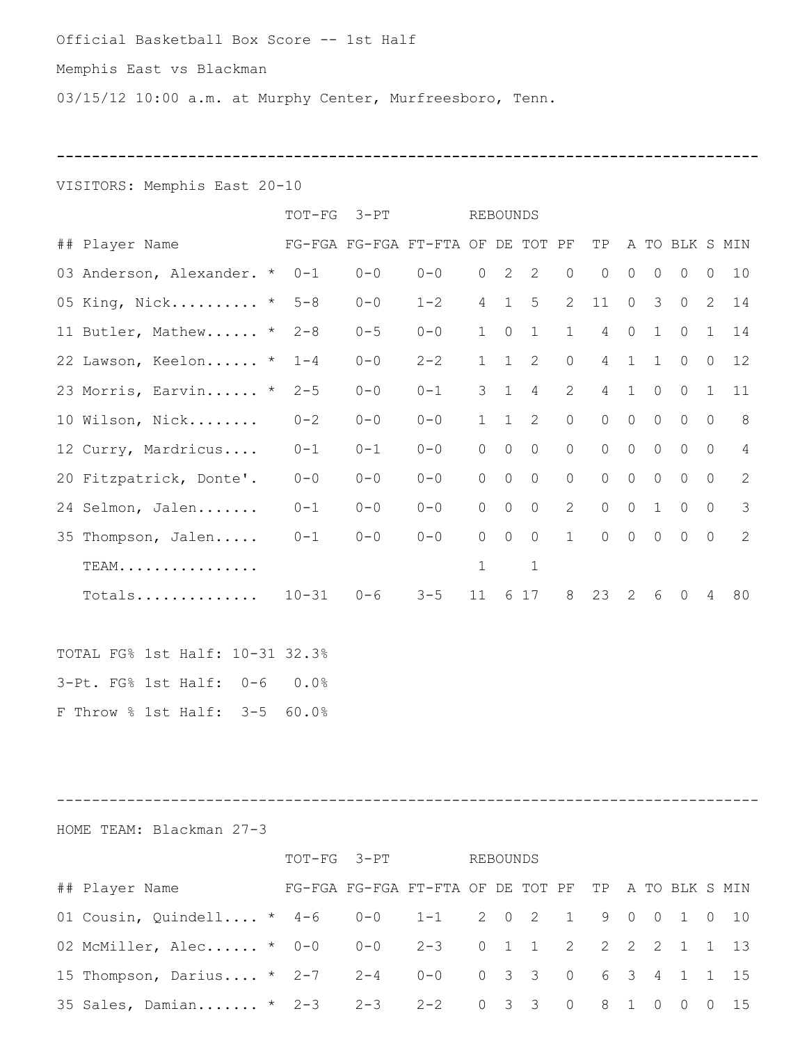## Official Basketball Box Score -- 1st Half

## Memphis East vs Blackman

03/15/12 10:00 a.m. at Murphy Center, Murfreesboro, Tenn.

**--------------------------------------------------------------------------------**

#### VISITORS: Memphis East 20-10

|                               | $TOT-FG$  | $3-PT$                            |         | <b>REBOUNDS</b> |         |                     |                |                                             |                |                |                             |                |                |
|-------------------------------|-----------|-----------------------------------|---------|-----------------|---------|---------------------|----------------|---------------------------------------------|----------------|----------------|-----------------------------|----------------|----------------|
| ## Player Name                |           | FG-FGA FG-FGA FT-FTA OF DE TOT PF |         |                 |         |                     |                | TP                                          |                |                | A TO BLK S MIN              |                |                |
| 03 Anderson, Alexander. * 0-1 |           | $0 - 0$                           | $0 - 0$ | $\circ$         |         | $2 \quad 2$         | $\circ$        | $\overline{0}$                              | $\circ$        | $\circ$        | $\overline{0}$              | $\circ$        | 10             |
| 05 King, Nick * 5-8           |           | $0 - 0$                           | $1 - 2$ | $4\overline{ }$ |         | $1 \quad 5$         |                | 2 11 0 3 0 2                                |                |                |                             |                | 14             |
| 11 Butler, Mathew * 2-8       |           | $0 - 5$                           | $0 - 0$ |                 |         |                     |                | 1 0 1 1 4 0 1 0 1                           |                |                |                             |                | 14             |
| 22 Lawson, Keelon * 1-4       |           | $0 - 0$                           | $2 - 2$ | 1               |         | $1 \quad 2$         | $\circ$        |                                             |                |                | 4 1 1 0                     | $\circ$        | 12             |
| 23 Morris, Earvin * 2-5       |           | $0 - 0$                           | $0 - 1$ |                 |         | $3 \quad 1 \quad 4$ | $2^{\circ}$    |                                             |                | 4 1 0          | $0\quad 1$                  |                | 11             |
| 10 Wilson, Nick               | $0 - 2$   | $0 - 0$                           | $0 - 0$ |                 |         | $1 \quad 1 \quad 2$ | $\circ$        | $\begin{matrix} 0 & 0 & 0 & 0 \end{matrix}$ |                |                |                             | $\overline{0}$ | 8              |
| 12 Curry, Mardricus 0-1       |           | $0 - 1$                           | $0 - 0$ | $\Omega$        | $\circ$ | $\overline{0}$      | $\overline{0}$ |                                             | $0\qquad 0$    | $\overline{0}$ | $\overline{0}$              | $\overline{0}$ | $\overline{4}$ |
| 20 Fitzpatrick, Donte'.       | $0 - 0$   | $0 - 0$                           | $0 - 0$ | $\overline{0}$  | $\circ$ | $\overline{0}$      | $\overline{0}$ | $\overline{0}$                              |                |                | $0\qquad 0\qquad 0\qquad 0$ |                | 2              |
| 24 Selmon, Jalen              | $0 - 1$   | $0 - 0$                           | $0 - 0$ | $\circ$         | $\circ$ | $\overline{0}$      |                | 2 0 0 1 0                                   |                |                |                             | $\overline{0}$ | $\mathcal{S}$  |
| 35 Thompson, Jalen            | $0 - 1$   | $0 - 0$                           | $0 - 0$ | $\Omega$        | $\circ$ | $\overline{0}$      | 1              | $0\qquad 0$                                 |                | $\overline{0}$ | $\bigcap$                   | $\Omega$       | 2              |
| TEAM.                         |           |                                   |         | $\mathbf{1}$    |         | $\mathbf{1}$        |                |                                             |                |                |                             |                |                |
| TotalS                        | $10 - 31$ | $0 - 6$                           | $3 - 5$ | 11              |         | 6 17                | 8              | 23                                          | $\overline{2}$ | 6              | $\Omega$                    | $\overline{4}$ | 80             |
|                               |           |                                   |         |                 |         |                     |                |                                             |                |                |                             |                |                |

TOTAL FG% 1st Half: 10-31 32.3% 3-Pt. FG% 1st Half: 0-6 0.0% F Throw % 1st Half: 3-5 60.0%

--------------------------------------------------------------------------------

HOME TEAM: Blackman 27-3

|                                                          |  | TOT-FG 3-PT |                                                     |  | REBOUNDS |  |  |  |  |  |                                     |  |    |
|----------------------------------------------------------|--|-------------|-----------------------------------------------------|--|----------|--|--|--|--|--|-------------------------------------|--|----|
| ## Player Name                                           |  |             | FG-FGA FG-FGA FT-FTA OF DE TOT PF TP A TO BLK S MIN |  |          |  |  |  |  |  |                                     |  |    |
| 01 Cousin, Quindell * $4-6$ 0-0 1-1 2 0 2 1 9 0 0 1 0 10 |  |             |                                                     |  |          |  |  |  |  |  |                                     |  |    |
| 02 McMiller, Alec * 0-0 0-0 2-3 0 1 1 2 2 2 2 1 1 13     |  |             |                                                     |  |          |  |  |  |  |  |                                     |  |    |
| 15 Thompson, Darius * 2-7 2-4 0-0 0 3 3 0 6 3 4 1 1 15   |  |             |                                                     |  |          |  |  |  |  |  |                                     |  |    |
| 35 Sales, Damian * 2-3  2-3  2-2  0 3 3 0 8 1 0          |  |             |                                                     |  |          |  |  |  |  |  | $\begin{matrix} 0 & 0 \end{matrix}$ |  | 15 |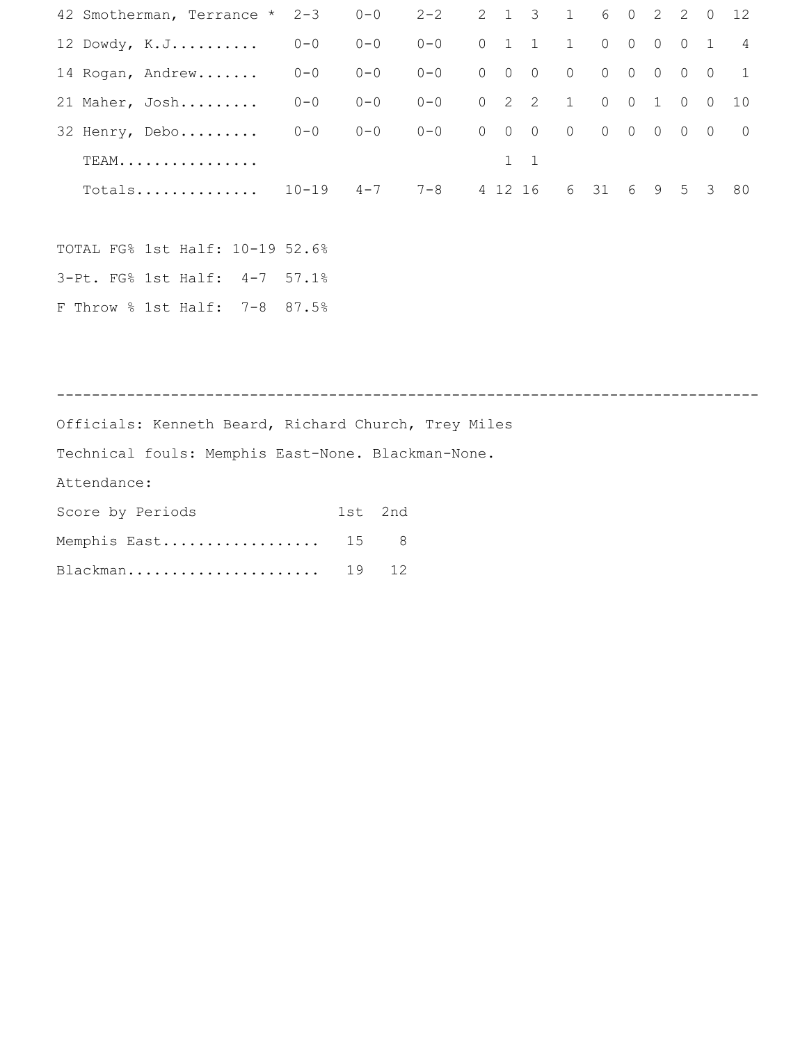| 42 Smotherman, Terrance *                            | $2 - 3$   | $0 - 0$ |     | $2 - 2$     | 2              | $\mathbf{1}$ | 3                   | $\mathbf{1}$     | 6              | $\circ$     | 2                                       | 2               | $\circ$        | 12          |
|------------------------------------------------------|-----------|---------|-----|-------------|----------------|--------------|---------------------|------------------|----------------|-------------|-----------------------------------------|-----------------|----------------|-------------|
| 12 Dowdy, K.J                                        | $0 - 0$   | $0 - 0$ |     | $0 - 0$     |                | $0\quad 1$   | 1                   | 1                | $\overline{0}$ |             | $0\qquad 0$                             | $\circ$         | $\mathbf{1}$   | 4           |
| 14 Rogan, Andrew                                     | $0 - 0$   | $0 - 0$ |     | $0 - 0$     | $\overline{0}$ | $\circ$      | $\circ$             | $\overline{0}$   | $\overline{0}$ | $\circ$     | $\circ$                                 | $\circ$         | $\Omega$       | $\mathbf 1$ |
| 21 Maher, Josh                                       | $0 - 0$   | $0 - 0$ |     | $0 - 0$     |                |              | $0 \quad 2 \quad 2$ | 1                |                | $0\qquad 0$ | $\mathbf{1}$                            | $\circ$         | $\overline{O}$ | 10          |
| 32 Henry, Debo                                       | $0 - 0$   | $0 - 0$ |     | $0 - 0$     | $\overline{0}$ | $\circ$      | $\overline{0}$      | $\overline{0}$   |                |             | $\begin{matrix} 0 & 0 & 0 \end{matrix}$ | $\circ$         | $\overline{0}$ | $\circ$     |
| $TEAM$                                               |           |         |     |             |                |              | $1 \quad 1$         |                  |                |             |                                         |                 |                |             |
| Totals                                               | $10 - 19$ |         |     | $4 - 7$ 7-8 |                |              |                     | 4 12 16 6 31 6 9 |                |             |                                         | $5\overline{)}$ | 3              | 80          |
|                                                      |           |         |     |             |                |              |                     |                  |                |             |                                         |                 |                |             |
| TOTAL FG% 1st Half: 10-19 52.6%                      |           |         |     |             |                |              |                     |                  |                |             |                                         |                 |                |             |
| 3-Pt. FG% 1st Half: 4-7                              | $57.1\%$  |         |     |             |                |              |                     |                  |                |             |                                         |                 |                |             |
| F Throw % 1st Half: 7-8                              | 87.5%     |         |     |             |                |              |                     |                  |                |             |                                         |                 |                |             |
|                                                      |           |         |     |             |                |              |                     |                  |                |             |                                         |                 |                |             |
|                                                      |           |         |     |             |                |              |                     |                  |                |             |                                         |                 |                |             |
|                                                      |           |         |     |             |                |              |                     |                  |                |             |                                         |                 |                |             |
| Officials: Kenneth Beard, Richard Church, Trey Miles |           |         |     |             |                |              |                     |                  |                |             |                                         |                 |                |             |
| Technical fouls: Memphis East-None. Blackman-None.   |           |         |     |             |                |              |                     |                  |                |             |                                         |                 |                |             |
| Attendance:                                          |           |         |     |             |                |              |                     |                  |                |             |                                         |                 |                |             |
| Score by Periods                                     |           | 1st     | 2nd |             |                |              |                     |                  |                |             |                                         |                 |                |             |
| Memphis East                                         |           | 15      | 8   |             |                |              |                     |                  |                |             |                                         |                 |                |             |
| Blackman                                             |           | 19      | 12  |             |                |              |                     |                  |                |             |                                         |                 |                |             |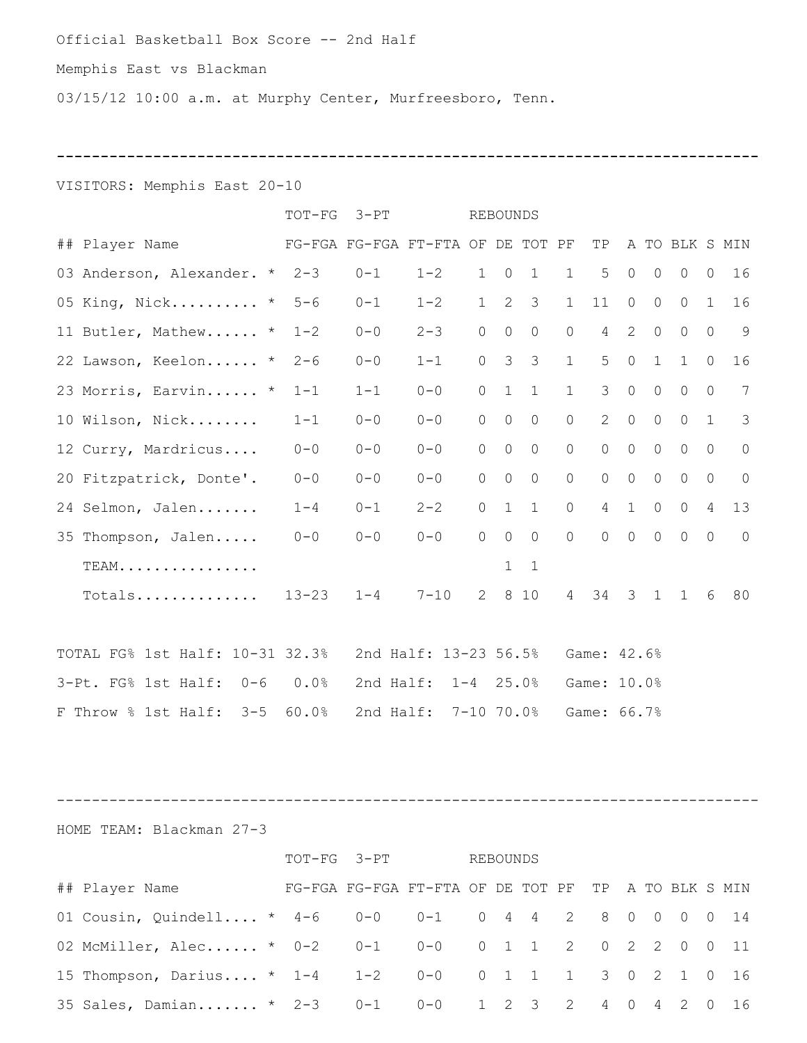#### Official Basketball Box Score -- 2nd Half

## Memphis East vs Blackman

03/15/12 10:00 a.m. at Murphy Center, Murfreesboro, Tenn.

**--------------------------------------------------------------------------------**

## VISITORS: Memphis East 20-10

|                                 | TOT-FG 3-PT |         |                                   |                | REBOUNDS       |                     |                |                |                |                   |                     |                |                 |
|---------------------------------|-------------|---------|-----------------------------------|----------------|----------------|---------------------|----------------|----------------|----------------|-------------------|---------------------|----------------|-----------------|
| ## Player Name                  |             |         | FG-FGA FG-FGA FT-FTA OF DE TOT PF |                |                |                     |                | TP             |                |                   | A TO BLK S MIN      |                |                 |
| 03 Anderson, Alexander. * 2-3   |             | $0 - 1$ | $1 - 2$                           |                | $1 \quad 0$    | $\mathbf{1}$        | $\mathbf{1}$   | 5              | $\circ$        | $\circ$           | $\circ$             | $\bigcirc$     | 16              |
| 05 King, Nick * 5-6             |             | $0 - 1$ | $1 - 2$                           |                |                | $1 \quad 2 \quad 3$ | $\mathbf{1}$   | 11             | $\overline{0}$ | $\circ$           | $\circ$             | 1              | 16              |
| 11 Butler, Mathew *             | $1 - 2$     | $0 - 0$ | $2 - 3$                           | $\overline{0}$ | $\circ$        | $\circ$             | $\overline{0}$ |                | $4\quad 2$     | $\overline{0}$    | $\circ$             | $\circ$        | 9               |
| 22 Lawson, Keelon *             | $2 - 6$     | $0 - 0$ | $1 - 1$                           | $\Omega$       | $\mathcal{S}$  | $\mathcal{S}$       | 1              | 5              | $\circ$        | $\mathbf{1}$      | $\mathbf{1}$        | $\bigcap$      | 16              |
| 23 Morris, Earvin *             | $1 - 1$     | $1 - 1$ | $0 - 0$                           | $\overline{0}$ | $\overline{1}$ | $\mathbf{1}$        | 1              | $\mathcal{S}$  | $\circ$        | $\circ$           | $\circ$             | $\Omega$       | $7\overline{ }$ |
| 10 Wilson, Nick                 | $1 - 1$     | $0 - 0$ | $0 - 0$                           | $\Omega$       | $\overline{0}$ | $\circ$             | $\overline{0}$ | $2^{\circ}$    | $\overline{0}$ | $\overline{0}$    | $\overline{0}$      | 1              | $\mathcal{S}$   |
| 12 Curry, Mardricus             | $0 - 0$     | $0 - 0$ | $0 - 0$                           | $\Omega$       | $\circ$        | $\circ$             | $\overline{0}$ | $\circ$        | $\circ$        | $\overline{0}$    | $\circ$             | $\circ$        | $\overline{0}$  |
| 20 Fitzpatrick, Donte'.         | $0 - 0$     | $0 - 0$ | $0 - 0$                           | $\circ$        | $\overline{0}$ | $\overline{0}$      | $\overline{0}$ | $\circ$        | $\circ$        | $\circ$           | $\circ$             | $\circ$        | $\overline{0}$  |
| 24 Selmon, Jalen                | $1 - 4$     | $0 - 1$ | $2 - 2$                           | $\Omega$       |                | $1\quad1$           | $\overline{0}$ |                |                | $4\quad 1\quad 0$ | $\circ$             | $\overline{4}$ | 13              |
| 35 Thompson, Jalen              | $0 - 0$     | $0 - 0$ | $0 - 0$                           | $\Omega$       | $\circ$        | $\circ$             | $\overline{0}$ | $\overline{0}$ |                | $0\qquad 0$       | $\overline{0}$      | $\overline{0}$ | $\overline{0}$  |
| TEAM.                           |             |         |                                   |                | $\mathbf{1}$   | $\mathbf{1}$        |                |                |                |                   |                     |                |                 |
| Totals                          |             |         | $13 - 23$ $1 - 4$ 7-10            |                |                |                     |                |                |                |                   | 2 8 10 4 34 3 1 1 6 |                | 80              |
|                                 |             |         |                                   |                |                |                     |                |                |                |                   |                     |                |                 |
| TOTAL FG% 1st Half: 10-31 32.3% |             |         | 2nd Half: 13-23 56.5%             |                |                |                     |                | Game: 42.6%    |                |                   |                     |                |                 |
| 3-Pt. FG% 1st Half: 0-6 0.0%    |             |         | 2nd Half: 1-4 25.0%               |                |                |                     |                | Game: 10.0%    |                |                   |                     |                |                 |
| F Throw % 1st Half: 3-5         | 60.0%       |         | 2nd Half: 7-10 70.0%              |                |                |                     |                | Game: 66.7%    |                |                   |                     |                |                 |

--------------------------------------------------------------------------------

HOME TEAM: Blackman 27-3

|                                                                                            | TOT-FG 3-PT                                         |  |  | REBOUNDS |  |  |  |  |  |  |  |  |
|--------------------------------------------------------------------------------------------|-----------------------------------------------------|--|--|----------|--|--|--|--|--|--|--|--|
| ## Player Name                                                                             | FG-FGA FG-FGA FT-FTA OF DE TOT PF TP A TO BLK S MIN |  |  |          |  |  |  |  |  |  |  |  |
| 01 Cousin, Quindell * $4-6$ 0-0 0-1 0 4 4 2 8 0 0 0 0 14                                   |                                                     |  |  |          |  |  |  |  |  |  |  |  |
| 02 McMiller, Alec * 0-2  0-1  0-0  0 1 1 2 0 2 2 0 0 11                                    |                                                     |  |  |          |  |  |  |  |  |  |  |  |
| 15 Thompson, Darius * 1-4    1-2    0-0    0    1    1    1    3    0    2    1    0    16 |                                                     |  |  |          |  |  |  |  |  |  |  |  |
| 35 Sales, Damian * 2-3  0-1  0-0  1  2  3  2  4  0  4  2  0  16                            |                                                     |  |  |          |  |  |  |  |  |  |  |  |